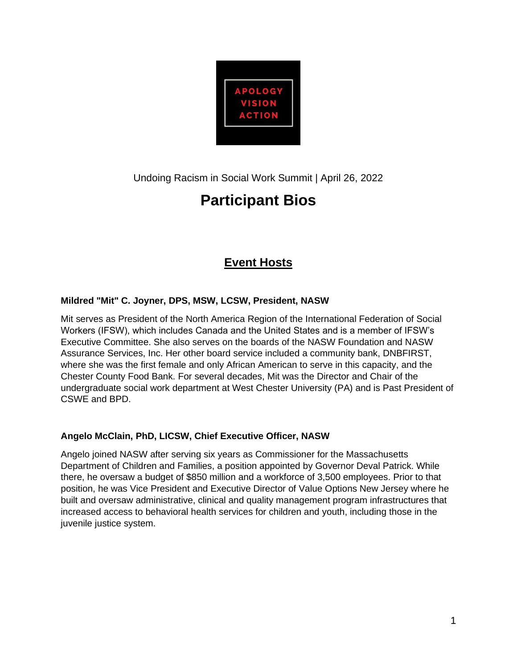

Undoing Racism in Social Work Summit | April 26, 2022

# **Participant Bios**

# **Event Hosts**

#### **Mildred "Mit" C. Joyner, DPS, MSW, LCSW, President, NASW**

Mit serves as President of the North America Region of the International Federation of Social Workers (IFSW), which includes Canada and the United States and is a member of IFSW's Executive Committee. She also serves on the boards of the NASW Foundation and NASW Assurance Services, Inc. Her other board service included a community bank, DNBFIRST, where she was the first female and only African American to serve in this capacity, and the Chester County Food Bank. For several decades, Mit was the Director and Chair of the undergraduate social work department at West Chester University (PA) and is Past President of CSWE and BPD.

#### **Angelo McClain, PhD, LICSW, Chief Executive Officer, NASW**

Angelo joined NASW after serving six years as Commissioner for the Massachusetts Department of Children and Families, a position appointed by Governor Deval Patrick. While there, he oversaw a budget of \$850 million and a workforce of 3,500 employees. Prior to that position, he was Vice President and Executive Director of Value Options New Jersey where he built and oversaw administrative, clinical and quality management program infrastructures that increased access to behavioral health services for children and youth, including those in the juvenile justice system.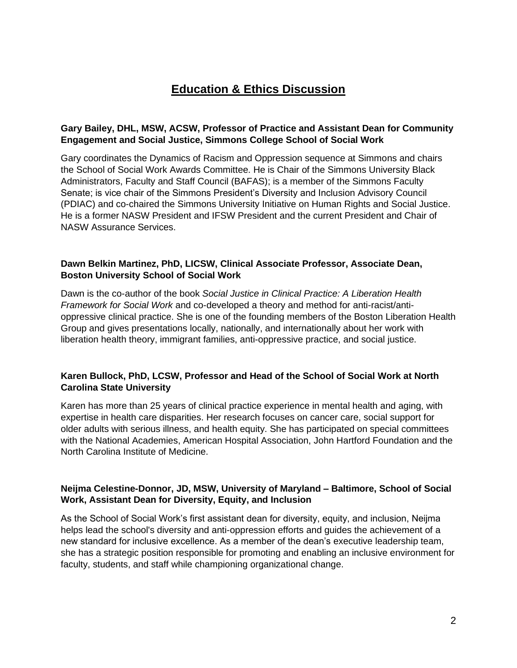# **Education & Ethics Discussion**

#### **Gary Bailey, DHL, MSW, ACSW, Professor of Practice and Assistant Dean for Community Engagement and Social Justice, Simmons College School of Social Work**

Gary coordinates the Dynamics of Racism and Oppression sequence at Simmons and chairs the School of Social Work Awards Committee. He is Chair of the Simmons University Black Administrators, Faculty and Staff Council (BAFAS); is a member of the Simmons Faculty Senate; is vice chair of the Simmons President's Diversity and Inclusion Advisory Council (PDIAC) and co-chaired the Simmons University Initiative on Human Rights and Social Justice. He is a former NASW President and IFSW President and the current President and Chair of NASW Assurance Services.

#### **Dawn Belkin Martinez, PhD, LICSW, Clinical Associate Professor, Associate Dean, Boston University School of Social Work**

Dawn is the co-author of the book *Social Justice in Clinical Practice: A Liberation Health Framework for Social Work* and co-developed a theory and method for anti-racist/antioppressive clinical practice. She is one of the founding members of the Boston Liberation Health Group and gives presentations locally, nationally, and internationally about her work with liberation health theory, immigrant families, anti-oppressive practice, and social justice.

#### **Karen Bullock, PhD, LCSW, Professor and Head of the School of Social Work at North Carolina State University**

Karen has more than 25 years of clinical practice experience in mental health and aging, with expertise in health care disparities. Her research focuses on cancer care, social support for older adults with serious illness, and health equity. She has participated on special committees with the National Academies, American Hospital Association, John Hartford Foundation and the North Carolina Institute of Medicine.

#### **Neijma Celestine-Donnor, JD, MSW, University of Maryland – Baltimore, School of Social Work, Assistant Dean for Diversity, Equity, and Inclusion**

As the School of Social Work's first assistant dean for diversity, equity, and inclusion, Neijma helps lead the school's diversity and anti-oppression efforts and guides the achievement of a new standard for inclusive excellence. As a member of the dean's executive leadership team, she has a strategic position responsible for promoting and enabling an inclusive environment for faculty, students, and staff while championing organizational change.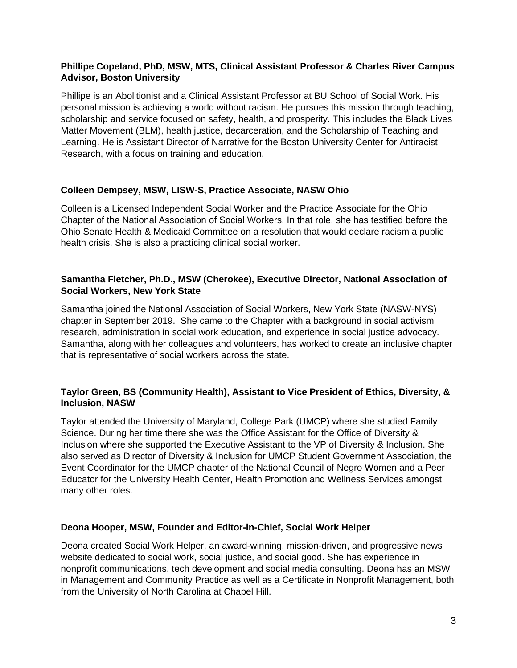#### **Phillipe Copeland, PhD, MSW, MTS, Clinical Assistant Professor & Charles River Campus Advisor, Boston University**

Phillipe is an Abolitionist and a Clinical Assistant Professor at BU School of Social Work. His personal mission is achieving a world without racism. He pursues this mission through teaching, scholarship and service focused on safety, health, and prosperity. This includes the Black Lives Matter Movement (BLM), health justice, decarceration, and the Scholarship of Teaching and Learning. He is Assistant Director of Narrative for the Boston University Center for Antiracist Research, with a focus on training and education.

#### **Colleen Dempsey, MSW, LISW-S, Practice Associate, NASW Ohio**

Colleen is a Licensed Independent Social Worker and the Practice Associate for the Ohio Chapter of the National Association of Social Workers. In that role, she has testified before the Ohio Senate Health & Medicaid Committee on a resolution that would declare racism a public health crisis. She is also a practicing clinical social worker.

#### **Samantha Fletcher, Ph.D., MSW (Cherokee), Executive Director, National Association of Social Workers, New York State**

Samantha joined the National Association of Social Workers, New York State (NASW-NYS) chapter in September 2019. She came to the Chapter with a background in social activism research, administration in social work education, and experience in social justice advocacy. Samantha, along with her colleagues and volunteers, has worked to create an inclusive chapter that is representative of social workers across the state.

#### **Taylor Green, BS (Community Health), Assistant to Vice President of Ethics, Diversity, & Inclusion, NASW**

Taylor attended the University of Maryland, College Park (UMCP) where she studied Family Science. During her time there she was the Office Assistant for the Office of Diversity & Inclusion where she supported the Executive Assistant to the VP of Diversity & Inclusion. She also served as Director of Diversity & Inclusion for UMCP Student Government Association, the Event Coordinator for the UMCP chapter of the National Council of Negro Women and a Peer Educator for the University Health Center, Health Promotion and Wellness Services amongst many other roles.

#### **Deona Hooper, MSW, Founder and Editor-in-Chief, Social Work Helper**

Deona created Social Work Helper, an award-winning, mission-driven, and progressive news website dedicated to social work, social justice, and social good. She has experience in nonprofit communications, tech development and social media consulting. Deona has an MSW in Management and Community Practice as well as a Certificate in Nonprofit Management, both from the University of North Carolina at Chapel Hill.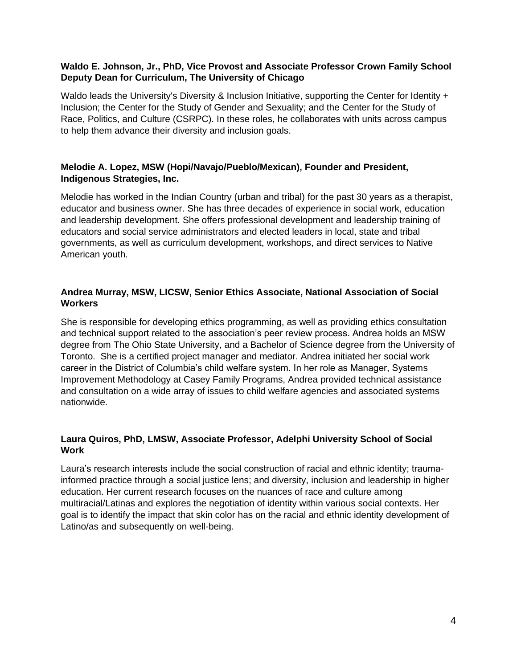#### **Waldo E. Johnson, Jr., PhD, Vice Provost and Associate Professor Crown Family School Deputy Dean for Curriculum, The University of Chicago**

Waldo leads the University's Diversity & Inclusion Initiative, supporting the Center for Identity + Inclusion; the Center for the Study of Gender and Sexuality; and the Center for the Study of Race, Politics, and Culture (CSRPC). In these roles, he collaborates with units across campus to help them advance their diversity and inclusion goals.

#### **Melodie A. Lopez, MSW (Hopi/Navajo/Pueblo/Mexican), Founder and President, Indigenous Strategies, Inc.**

Melodie has worked in the Indian Country (urban and tribal) for the past 30 years as a therapist, educator and business owner. She has three decades of experience in social work, education and leadership development. She offers professional development and leadership training of educators and social service administrators and elected leaders in local, state and tribal governments, as well as curriculum development, workshops, and direct services to Native American youth.

#### **Andrea Murray, MSW, LICSW, Senior Ethics Associate, National Association of Social Workers**

She is responsible for developing ethics programming, as well as providing ethics consultation and technical support related to the association's peer review process. Andrea holds an MSW degree from The Ohio State University, and a Bachelor of Science degree from the University of Toronto. She is a certified project manager and mediator. Andrea initiated her social work career in the District of Columbia's child welfare system. In her role as Manager, Systems Improvement Methodology at Casey Family Programs, Andrea provided technical assistance and consultation on a wide array of issues to child welfare agencies and associated systems nationwide.

#### **Laura Quiros, PhD, LMSW, Associate Professor, Adelphi University School of Social Work**

Laura's research interests include the social construction of racial and ethnic identity; traumainformed practice through a social justice lens; and diversity, inclusion and leadership in higher education. Her current research focuses on the nuances of race and culture among multiracial/Latinas and explores the negotiation of identity within various social contexts. Her goal is to identify the impact that skin color has on the racial and ethnic identity development of Latino/as and subsequently on well-being.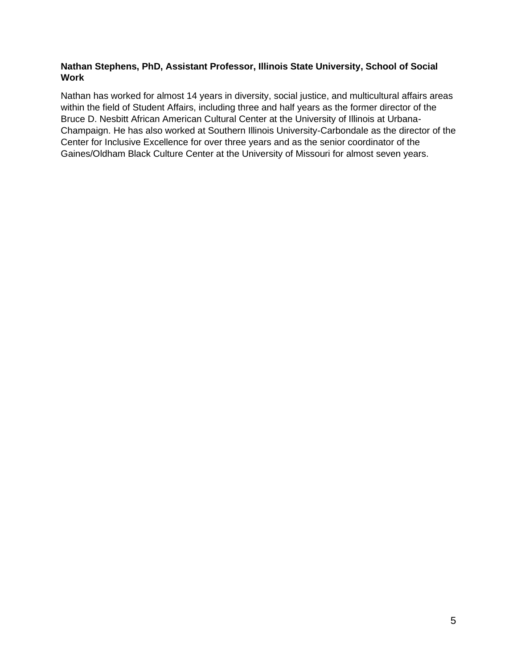#### **Nathan Stephens, PhD, Assistant Professor, Illinois State University, School of Social Work**

Nathan has worked for almost 14 years in diversity, social justice, and multicultural affairs areas within the field of Student Affairs, including three and half years as the former director of the Bruce D. Nesbitt African American Cultural Center at the University of Illinois at Urbana-Champaign. He has also worked at Southern Illinois University-Carbondale as the director of the Center for Inclusive Excellence for over three years and as the senior coordinator of the Gaines/Oldham Black Culture Center at the University of Missouri for almost seven years.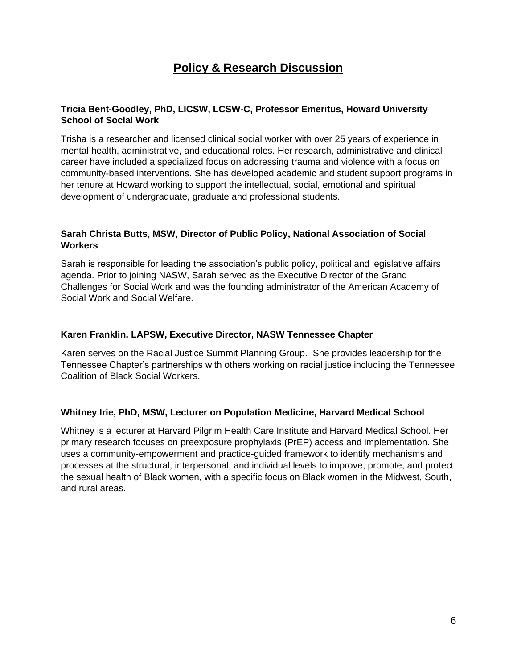## **Policy & Research Discussion**

#### **Tricia Bent-Goodley, PhD, LICSW, LCSW-C, Professor Emeritus, Howard University School of Social Work**

Trisha is a researcher and licensed clinical social worker with over 25 years of experience in mental health, administrative, and educational roles. Her research, administrative and clinical career have included a specialized focus on addressing trauma and violence with a focus on community-based interventions. She has developed academic and student support programs in her tenure at Howard working to support the intellectual, social, emotional and spiritual development of undergraduate, graduate and professional students.

#### **Sarah Christa Butts, MSW, Director of Public Policy, National Association of Social Workers**

Sarah is responsible for leading the association's public policy, political and legislative affairs agenda. Prior to joining NASW, Sarah served as the Executive Director of the Grand Challenges for Social Work and was the founding administrator of the American Academy of Social Work and Social Welfare.

#### **Karen Franklin, LAPSW, Executive Director, NASW Tennessee Chapter**

Karen serves on the Racial Justice Summit Planning Group. She provides leadership for the Tennessee Chapter's partnerships with others working on racial justice including the Tennessee Coalition of Black Social Workers.

#### **Whitney Irie, PhD, MSW, Lecturer on Population Medicine, Harvard Medical School**

Whitney is a lecturer at Harvard Pilgrim Health Care Institute and Harvard Medical School. Her primary research focuses on preexposure prophylaxis (PrEP) access and implementation. She uses a community-empowerment and practice-guided framework to identify mechanisms and processes at the structural, interpersonal, and individual levels to improve, promote, and protect the sexual health of Black women, with a specific focus on Black women in the Midwest, South, and rural areas.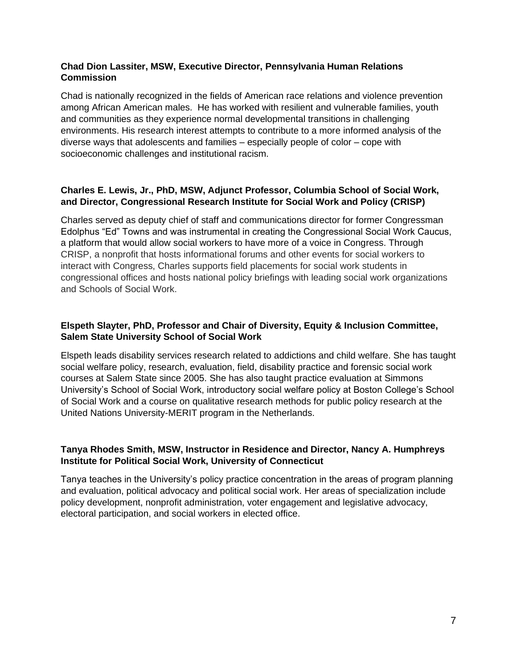#### **Chad Dion Lassiter, MSW, Executive Director, Pennsylvania Human Relations Commission**

Chad is nationally recognized in the fields of American race relations and violence prevention among African American males. He has worked with resilient and vulnerable families, youth and communities as they experience normal developmental transitions in challenging environments. His research interest attempts to contribute to a more informed analysis of the diverse ways that adolescents and families – especially people of color – cope with socioeconomic challenges and institutional racism.

#### **Charles E. Lewis, Jr., PhD, MSW, Adjunct Professor, Columbia School of Social Work, and Director, Congressional Research Institute for Social Work and Policy (CRISP)**

Charles served as deputy chief of staff and communications director for former Congressman Edolphus "Ed" Towns and was instrumental in creating the Congressional Social Work Caucus, a platform that would allow social workers to have more of a voice in Congress. Through CRISP, a nonprofit that hosts informational forums and other events for social workers to interact with Congress, Charles supports field placements for social work students in congressional offices and hosts national policy briefings with leading social work organizations and Schools of Social Work.

#### **Elspeth Slayter, PhD, Professor and Chair of Diversity, Equity & Inclusion Committee, Salem State University School of Social Work**

Elspeth leads disability services research related to addictions and child welfare. She has taught social welfare policy, research, evaluation, field, disability practice and forensic social work courses at Salem State since 2005. She has also taught practice evaluation at Simmons University's School of Social Work, introductory social welfare policy at Boston College's School of Social Work and a course on qualitative research methods for public policy research at the United Nations University-MERIT program in the Netherlands.

#### **Tanya Rhodes Smith, MSW, Instructor in Residence and Director, Nancy A. Humphreys Institute for Political Social Work, University of Connecticut**

Tanya teaches in the University's policy practice concentration in the areas of program planning and evaluation, political advocacy and political social work. Her areas of specialization include policy development, nonprofit administration, voter engagement and legislative advocacy, electoral participation, and social workers in elected office.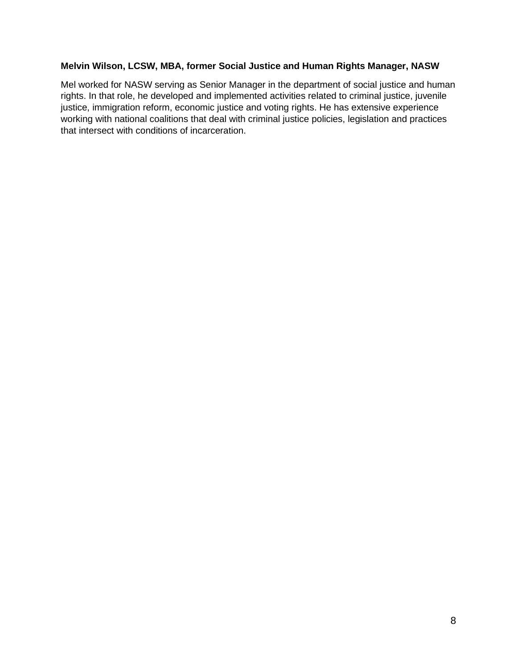#### **Melvin Wilson, LCSW, MBA, former Social Justice and Human Rights Manager, NASW**

Mel worked for NASW serving as Senior Manager in the department of social justice and human rights. In that role, he developed and implemented activities related to criminal justice, juvenile justice, immigration reform, economic justice and voting rights. He has extensive experience working with national coalitions that deal with criminal justice policies, legislation and practices that intersect with conditions of incarceration.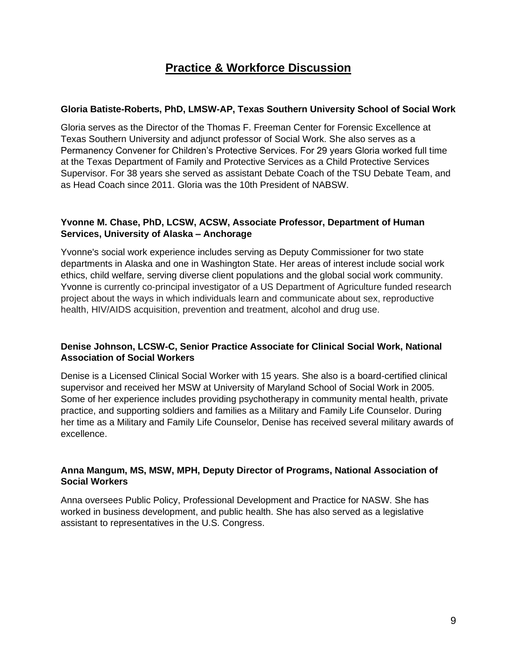### **Practice & Workforce Discussion**

#### **Gloria Batiste-Roberts, PhD, LMSW-AP, Texas Southern University School of Social Work**

Gloria serves as the Director of the Thomas F. Freeman Center for Forensic Excellence at Texas Southern University and adjunct professor of Social Work. She also serves as a Permanency Convener for Children's Protective Services. For 29 years Gloria worked full time at the Texas Department of Family and Protective Services as a Child Protective Services Supervisor. For 38 years she served as assistant Debate Coach of the TSU Debate Team, and as Head Coach since 2011. Gloria was the 10th President of NABSW.

#### **Yvonne M. Chase, PhD, LCSW, ACSW, Associate Professor, Department of Human Services, University of Alaska – Anchorage**

Yvonne's social work experience includes serving as Deputy Commissioner for two state departments in Alaska and one in Washington State. Her areas of interest include social work ethics, child welfare, serving diverse client populations and the global social work community. Yvonne is currently co-principal investigator of a US Department of Agriculture funded research project about the ways in which individuals learn and communicate about sex, reproductive health, HIV/AIDS acquisition, prevention and treatment, alcohol and drug use.

#### **Denise Johnson, LCSW-C, Senior Practice Associate for Clinical Social Work, National Association of Social Workers**

Denise is a Licensed Clinical Social Worker with 15 years. She also is a board-certified clinical supervisor and received her MSW at University of Maryland School of Social Work in 2005. Some of her experience includes providing psychotherapy in community mental health, private practice, and supporting soldiers and families as a Military and Family Life Counselor. During her time as a Military and Family Life Counselor, Denise has received several military awards of excellence.

#### **Anna Mangum, MS, MSW, MPH, Deputy Director of Programs, National Association of Social Workers**

Anna oversees Public Policy, Professional Development and Practice for NASW. She has worked in business development, and public health. She has also served as a legislative assistant to representatives in the U.S. Congress.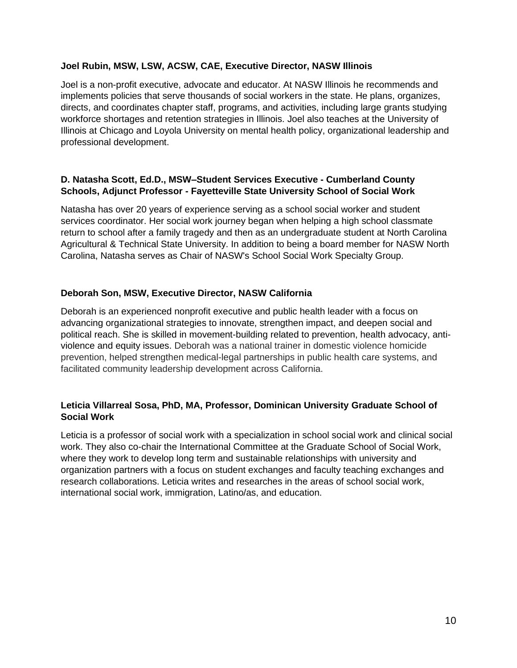#### **Joel Rubin, MSW, LSW, ACSW, CAE, Executive Director, NASW Illinois**

Joel is a non-profit executive, advocate and educator. At NASW Illinois he recommends and implements policies that serve thousands of social workers in the state. He plans, organizes, directs, and coordinates chapter staff, programs, and activities, including large grants studying workforce shortages and retention strategies in Illinois. Joel also teaches at the University of Illinois at Chicago and Loyola University on mental health policy, organizational leadership and professional development.

#### **D. Natasha Scott, Ed.D., MSW–Student Services Executive - Cumberland County Schools, Adjunct Professor - Fayetteville State University School of Social Work**

Natasha has over 20 years of experience serving as a school social worker and student services coordinator. Her social work journey began when helping a high school classmate return to school after a family tragedy and then as an undergraduate student at North Carolina Agricultural & Technical State University. In addition to being a board member for NASW North Carolina, Natasha serves as Chair of NASW's School Social Work Specialty Group.

#### **Deborah Son, MSW, Executive Director, NASW California**

Deborah is an experienced nonprofit executive and public health leader with a focus on advancing organizational strategies to innovate, strengthen impact, and deepen social and political reach. She is skilled in movement-building related to prevention, health advocacy, antiviolence and equity issues. Deborah was a national trainer in domestic violence homicide prevention, helped strengthen medical-legal partnerships in public health care systems, and facilitated community leadership development across California.

#### **Leticia Villarreal Sosa, PhD, MA, Professor, Dominican University Graduate School of Social Work**

Leticia is a professor of social work with a specialization in school social work and clinical social work. They also co-chair the International Committee at the Graduate School of Social Work, where they work to develop long term and sustainable relationships with university and organization partners with a focus on student exchanges and faculty teaching exchanges and research collaborations. Leticia writes and researches in the areas of school social work, international social work, immigration, Latino/as, and education.